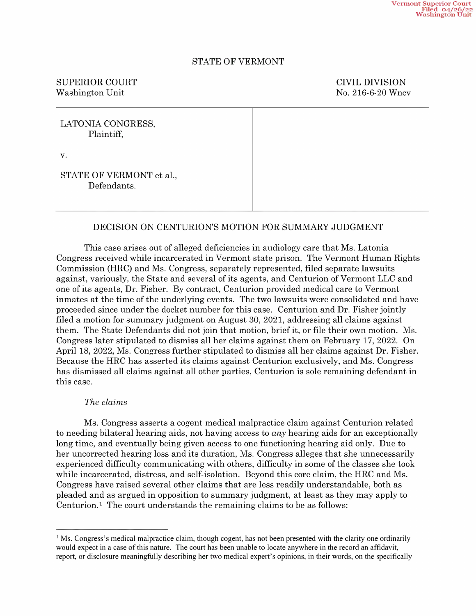# STATE OF VERMONT

# SUPERIOR COURT COURT COURT COURT Washington Unit No. 216-6-20 Wncv

| LATONIA CONGRESS,<br>Plaintiff,         |  |
|-----------------------------------------|--|
| V.                                      |  |
| STATE OF VERMONT et al.,<br>Defendants. |  |

# DECISION ON CENTURION'S MOTION FOR SUMMARY JUDGMENT

This case arises out of alleged deficiencies in audiology care that Ms. Latonia Congress received While incarcerated in Vermont state prison. The Vermont Human Rights Commission (HRC) and Ms. Congress, separately represented, filed separate lawsuits against, variously, the State and several of its agents, and Centurion of Vermont LLC and one of its agents, Dr. Fisher. By contract, Centurion provided medical care to Vermont inmates at the time of the underlying events. The two lawsuits were consolidated and have proceeded since under the docket number for this case. Centurion and Dr. Fisher jointly filed motion for summary judgment on August 30, 2021, addressing all claims against them. The State Defendants did not join that motion, brief it, or file their own motion. Ms. Congress later stipulated to dismiss all her claims against them on February 17, 2022. On April 18, 2022, Ms. Congress further stipulated to dismiss all her claims against Dr. Fisher. Because the HRC has asserted its claims against Centurion exclusively, and Ms. Congress has dismissed all claims against all other parties, Centurion is sole remaining defendant in this case.

#### The claims

Ms. Congress asserts a cogent medical malpractice claim against Centurion related to needing bilateral hearing aids, not having access to any hearing aids for an exceptionally long time, and eventually being given access to one functioning hearing aid only. Due to her uncorrected hearing loss and its duration, Ms. Congress alleges that she unnecessarily experienced difficulty communicating with others, difficulty in some of the classes she took While incarcerated, distress, and self-isolation. Beyond this core claim, the HRC and Ms. Congress have raised several other claims that are less readily understandable, both as pleaded and as argued in opposition to summary judgment, at least as they may apply to Centurion.1 The court understands the remaining claims to be as follows:

<sup>&</sup>lt;sup>1</sup> Ms. Congress's medical malpractice claim, though cogent, has not been presented with the clarity one ordinarily would expect in a case of this nature. The court has been unable to locate anywhere in the record an affidavit, report, or disclosure meaningfiilly describing her two medical expert's opinions, in their words, on the specifically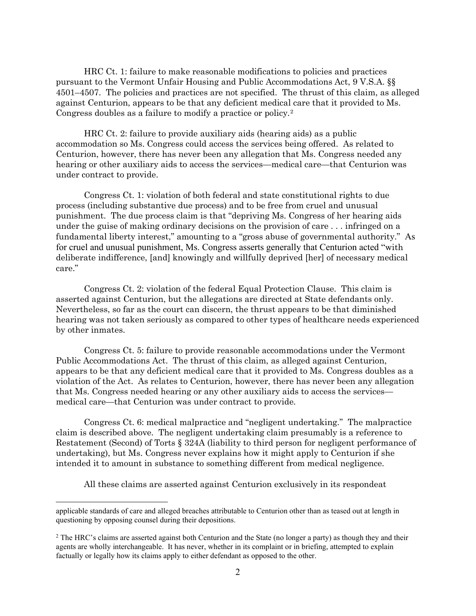HRC Ct. 1: failure to make reasonable modifications to policies and practices pursuant to the Vermont Unfair Housing and Public Accommodations Act, 9 V.S.A. §§ 4501–4507. The policies and practices are not specified. The thrust of this claim, as alleged against Centurion, appears to be that any deficient medical care that it provided to Ms. Congress doubles as a failure to modify a practice or policy.[2](#page-1-0)

HRC Ct. 2: failure to provide auxiliary aids (hearing aids) as a public accommodation so Ms. Congress could access the services being offered. As related to Centurion, however, there has never been any allegation that Ms. Congress needed any hearing or other auxiliary aids to access the services—medical care—that Centurion was under contract to provide.

Congress Ct. 1: violation of both federal and state constitutional rights to due process (including substantive due process) and to be free from cruel and unusual punishment. The due process claim is that "depriving Ms. Congress of her hearing aids under the guise of making ordinary decisions on the provision of care . . . infringed on a fundamental liberty interest," amounting to a "gross abuse of governmental authority." As for cruel and unusual punishment, Ms. Congress asserts generally that Centurion acted "with deliberate indifference, [and] knowingly and willfully deprived [her] of necessary medical care."

Congress Ct. 2: violation of the federal Equal Protection Clause. This claim is asserted against Centurion, but the allegations are directed at State defendants only. Nevertheless, so far as the court can discern, the thrust appears to be that diminished hearing was not taken seriously as compared to other types of healthcare needs experienced by other inmates.

Congress Ct. 5: failure to provide reasonable accommodations under the Vermont Public Accommodations Act. The thrust of this claim, as alleged against Centurion, appears to be that any deficient medical care that it provided to Ms. Congress doubles as a violation of the Act. As relates to Centurion, however, there has never been any allegation that Ms. Congress needed hearing or any other auxiliary aids to access the services medical care—that Centurion was under contract to provide.

Congress Ct. 6: medical malpractice and "negligent undertaking." The malpractice claim is described above. The negligent undertaking claim presumably is a reference to Restatement (Second) of Torts § 324A (liability to third person for negligent performance of undertaking), but Ms. Congress never explains how it might apply to Centurion if she intended it to amount in substance to something different from medical negligence.

All these claims are asserted against Centurion exclusively in its respondeat

applicable standards of care and alleged breaches attributable to Centurion other than as teased out at length in questioning by opposing counsel during their depositions.

<span id="page-1-0"></span><sup>&</sup>lt;sup>2</sup> The HRC's claims are asserted against both Centurion and the State (no longer a party) as though they and their agents are wholly interchangeable. It has never, whether in its complaint or in briefing, attempted to explain factually or legally how its claims apply to either defendant as opposed to the other.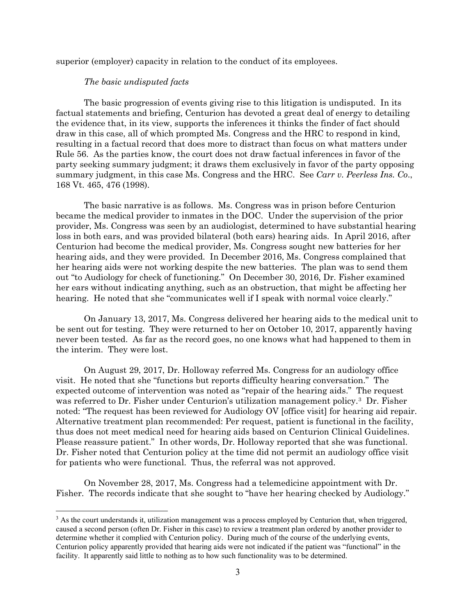superior (employer) capacity in relation to the conduct of its employees.

### *The basic undisputed facts*

The basic progression of events giving rise to this litigation is undisputed. In its factual statements and briefing, Centurion has devoted a great deal of energy to detailing the evidence that, in its view, supports the inferences it thinks the finder of fact should draw in this case, all of which prompted Ms. Congress and the HRC to respond in kind, resulting in a factual record that does more to distract than focus on what matters under Rule 56. As the parties know, the court does not draw factual inferences in favor of the party seeking summary judgment; it draws them exclusively in favor of the party opposing summary judgment, in this case Ms. Congress and the HRC. See *Carr v. Peerless Ins. Co*., 168 Vt. 465, 476 (1998).

The basic narrative is as follows. Ms. Congress was in prison before Centurion became the medical provider to inmates in the DOC. Under the supervision of the prior provider, Ms. Congress was seen by an audiologist, determined to have substantial hearing loss in both ears, and was provided bilateral (both ears) hearing aids. In April 2016, after Centurion had become the medical provider, Ms. Congress sought new batteries for her hearing aids, and they were provided. In December 2016, Ms. Congress complained that her hearing aids were not working despite the new batteries. The plan was to send them out "to Audiology for check of functioning." On December 30, 2016, Dr. Fisher examined her ears without indicating anything, such as an obstruction, that might be affecting her hearing. He noted that she "communicates well if I speak with normal voice clearly."

On January 13, 2017, Ms. Congress delivered her hearing aids to the medical unit to be sent out for testing. They were returned to her on October 10, 2017, apparently having never been tested. As far as the record goes, no one knows what had happened to them in the interim. They were lost.

On August 29, 2017, Dr. Holloway referred Ms. Congress for an audiology office visit. He noted that she "functions but reports difficulty hearing conversation." The expected outcome of intervention was noted as "repair of the hearing aids." The request was referred to Dr. Fisher under Centurion's utilization management policy.[3](#page-2-0) Dr. Fisher noted: "The request has been reviewed for Audiology OV [office visit] for hearing aid repair. Alternative treatment plan recommended: Per request, patient is functional in the facility, thus does not meet medical need for hearing aids based on Centurion Clinical Guidelines. Please reassure patient." In other words, Dr. Holloway reported that she was functional. Dr. Fisher noted that Centurion policy at the time did not permit an audiology office visit for patients who were functional. Thus, the referral was not approved.

On November 28, 2017, Ms. Congress had a telemedicine appointment with Dr. Fisher. The records indicate that she sought to "have her hearing checked by Audiology."

<span id="page-2-0"></span><sup>&</sup>lt;sup>3</sup> As the court understands it, utilization management was a process employed by Centurion that, when triggered, caused a second person (often Dr. Fisher in this case) to review a treatment plan ordered by another provider to determine whether it complied with Centurion policy. During much of the course of the underlying events, Centurion policy apparently provided that hearing aids were not indicated if the patient was "functional" in the facility. It apparently said little to nothing as to how such functionality was to be determined.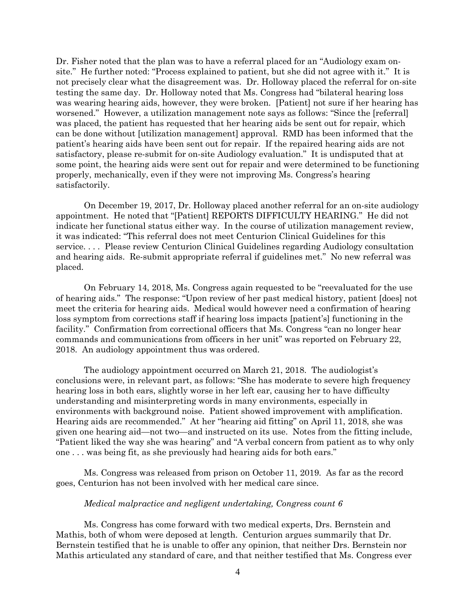Dr. Fisher noted that the plan was to have a referral placed for an "Audiology exam onsite." He further noted: "Process explained to patient, but she did not agree with it." It is not precisely clear what the disagreement was. Dr. Holloway placed the referral for on-site testing the same day. Dr. Holloway noted that Ms. Congress had "bilateral hearing loss was wearing hearing aids, however, they were broken. [Patient] not sure if her hearing has worsened." However, a utilization management note says as follows: "Since the [referral] was placed, the patient has requested that her hearing aids be sent out for repair, which can be done without [utilization management] approval. RMD has been informed that the patient's hearing aids have been sent out for repair. If the repaired hearing aids are not satisfactory, please re-submit for on-site Audiology evaluation." It is undisputed that at some point, the hearing aids were sent out for repair and were determined to be functioning properly, mechanically, even if they were not improving Ms. Congress's hearing satisfactorily.

On December 19, 2017, Dr. Holloway placed another referral for an on-site audiology appointment. He noted that "[Patient] REPORTS DIFFICULTY HEARING." He did not indicate her functional status either way. In the course of utilization management review, it was indicated: "This referral does not meet Centurion Clinical Guidelines for this service. . . . Please review Centurion Clinical Guidelines regarding Audiology consultation and hearing aids. Re-submit appropriate referral if guidelines met." No new referral was placed.

On February 14, 2018, Ms. Congress again requested to be "reevaluated for the use of hearing aids." The response: "Upon review of her past medical history, patient [does] not meet the criteria for hearing aids. Medical would however need a confirmation of hearing loss symptom from corrections staff if hearing loss impacts [patient's] functioning in the facility." Confirmation from correctional officers that Ms. Congress "can no longer hear commands and communications from officers in her unit" was reported on February 22, 2018. An audiology appointment thus was ordered.

The audiology appointment occurred on March 21, 2018. The audiologist's conclusions were, in relevant part, as follows: "She has moderate to severe high frequency hearing loss in both ears, slightly worse in her left ear, causing her to have difficulty understanding and misinterpreting words in many environments, especially in environments with background noise. Patient showed improvement with amplification. Hearing aids are recommended." At her "hearing aid fitting" on April 11, 2018, she was given one hearing aid—not two—and instructed on its use. Notes from the fitting include, "Patient liked the way she was hearing" and "A verbal concern from patient as to why only one . . . was being fit, as she previously had hearing aids for both ears."

Ms. Congress was released from prison on October 11, 2019. As far as the record goes, Centurion has not been involved with her medical care since.

#### *Medical malpractice and negligent undertaking, Congress count 6*

Ms. Congress has come forward with two medical experts, Drs. Bernstein and Mathis, both of whom were deposed at length. Centurion argues summarily that Dr. Bernstein testified that he is unable to offer any opinion, that neither Drs. Bernstein nor Mathis articulated any standard of care, and that neither testified that Ms. Congress ever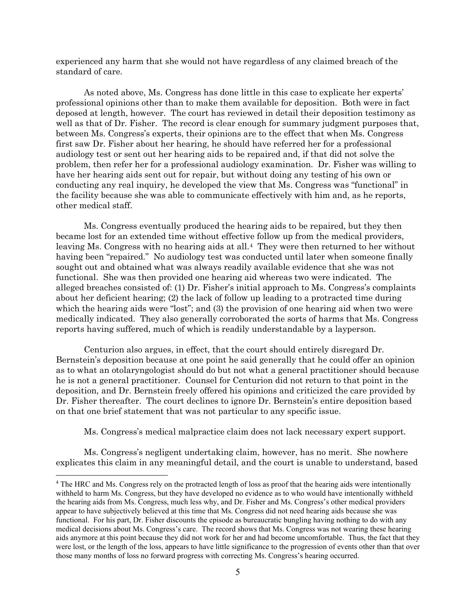experienced any harm that she would not have regardless of any claimed breach of the standard of care.

As noted above, Ms. Congress has done little in this case to explicate her experts' professional opinions other than to make them available for deposition. Both were in fact deposed at length, however. The court has reviewed in detail their deposition testimony as well as that of Dr. Fisher. The record is clear enough for summary judgment purposes that, between Ms. Congress's experts, their opinions are to the effect that when Ms. Congress first saw Dr. Fisher about her hearing, he should have referred her for a professional audiology test or sent out her hearing aids to be repaired and, if that did not solve the problem, then refer her for a professional audiology examination. Dr. Fisher was willing to have her hearing aids sent out for repair, but without doing any testing of his own or conducting any real inquiry, he developed the view that Ms. Congress was "functional" in the facility because she was able to communicate effectively with him and, as he reports, other medical staff.

Ms. Congress eventually produced the hearing aids to be repaired, but they then became lost for an extended time without effective follow up from the medical providers, leaving Ms. Congress with no hearing aids at all.[4](#page-4-0) They were then returned to her without having been "repaired." No audiology test was conducted until later when someone finally sought out and obtained what was always readily available evidence that she was not functional. She was then provided one hearing aid whereas two were indicated. The alleged breaches consisted of: (1) Dr. Fisher's initial approach to Ms. Congress's complaints about her deficient hearing; (2) the lack of follow up leading to a protracted time during which the hearing aids were "lost"; and (3) the provision of one hearing aid when two were medically indicated. They also generally corroborated the sorts of harms that Ms. Congress reports having suffered, much of which is readily understandable by a layperson.

Centurion also argues, in effect, that the court should entirely disregard Dr. Bernstein's deposition because at one point he said generally that he could offer an opinion as to what an otolaryngologist should do but not what a general practitioner should because he is not a general practitioner. Counsel for Centurion did not return to that point in the deposition, and Dr. Bernstein freely offered his opinions and criticized the care provided by Dr. Fisher thereafter. The court declines to ignore Dr. Bernstein's entire deposition based on that one brief statement that was not particular to any specific issue.

Ms. Congress's medical malpractice claim does not lack necessary expert support.

Ms. Congress's negligent undertaking claim, however, has no merit. She nowhere explicates this claim in any meaningful detail, and the court is unable to understand, based

<span id="page-4-0"></span><sup>4</sup> The HRC and Ms. Congress rely on the protracted length of loss as proof that the hearing aids were intentionally withheld to harm Ms. Congress, but they have developed no evidence as to who would have intentionally withheld the hearing aids from Ms. Congress, much less why, and Dr. Fisher and Ms. Congress's other medical providers appear to have subjectively believed at this time that Ms. Congress did not need hearing aids because she was functional. For his part, Dr. Fisher discounts the episode as bureaucratic bungling having nothing to do with any medical decisions about Ms. Congress's care. The record shows that Ms. Congress was not wearing these hearing aids anymore at this point because they did not work for her and had become uncomfortable. Thus, the fact that they were lost, or the length of the loss, appears to have little significance to the progression of events other than that over those many months of loss no forward progress with correcting Ms. Congress's hearing occurred.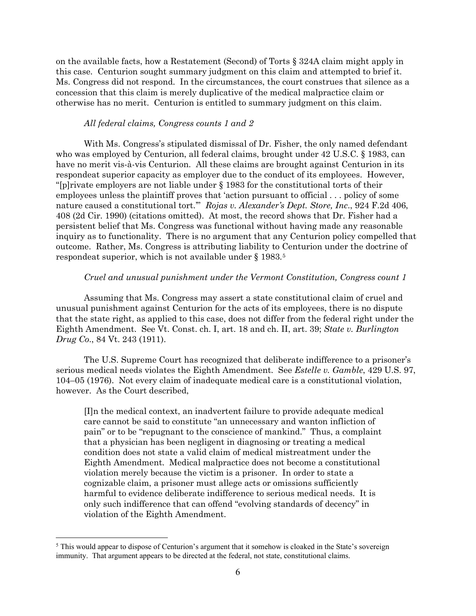on the available facts, how a Restatement (Second) of Torts § 324A claim might apply in this case. Centurion sought summary judgment on this claim and attempted to brief it. Ms. Congress did not respond. In the circumstances, the court construes that silence as a concession that this claim is merely duplicative of the medical malpractice claim or otherwise has no merit. Centurion is entitled to summary judgment on this claim.

#### *All federal claims, Congress counts 1 and 2*

With Ms. Congress's stipulated dismissal of Dr. Fisher, the only named defendant who was employed by Centurion, all federal claims, brought under 42 U.S.C. § 1983, can have no merit vis-à-vis Centurion. All these claims are brought against Centurion in its respondeat superior capacity as employer due to the conduct of its employees. However, "[p]rivate employers are not liable under § 1983 for the constitutional torts of their employees unless the plaintiff proves that 'action pursuant to official . . . policy of some nature caused a constitutional tort.'" *Rojas v. Alexander's Dept. Store, Inc*., 924 F.2d 406, 408 (2d Cir. 1990) (citations omitted). At most, the record shows that Dr. Fisher had a persistent belief that Ms. Congress was functional without having made any reasonable inquiry as to functionality. There is no argument that any Centurion policy compelled that outcome. Rather, Ms. Congress is attributing liability to Centurion under the doctrine of respondeat superior, which is not available under § 1983.[5](#page-5-0)

# *Cruel and unusual punishment under the Vermont Constitution, Congress count 1*

Assuming that Ms. Congress may assert a state constitutional claim of cruel and unusual punishment against Centurion for the acts of its employees, there is no dispute that the state right, as applied to this case, does not differ from the federal right under the Eighth Amendment. See Vt. Const. ch. I, art. 18 and ch. II, art. 39; *State v. Burlington Drug Co*., 84 Vt. 243 (1911).

The U.S. Supreme Court has recognized that deliberate indifference to a prisoner's serious medical needs violates the Eighth Amendment. See *Estelle v. Gamble*, 429 U.S. 97, 104–05 (1976). Not every claim of inadequate medical care is a constitutional violation, however. As the Court described,

[I]n the medical context, an inadvertent failure to provide adequate medical care cannot be said to constitute "an unnecessary and wanton infliction of pain" or to be "repugnant to the conscience of mankind." Thus, a complaint that a physician has been negligent in diagnosing or treating a medical condition does not state a valid claim of medical mistreatment under the Eighth Amendment. Medical malpractice does not become a constitutional violation merely because the victim is a prisoner. In order to state a cognizable claim, a prisoner must allege acts or omissions sufficiently harmful to evidence deliberate indifference to serious medical needs. It is only such indifference that can offend "evolving standards of decency" in violation of the Eighth Amendment.

<span id="page-5-0"></span><sup>&</sup>lt;sup>5</sup> This would appear to dispose of Centurion's argument that it somehow is cloaked in the State's sovereign immunity. That argument appears to be directed at the federal, not state, constitutional claims.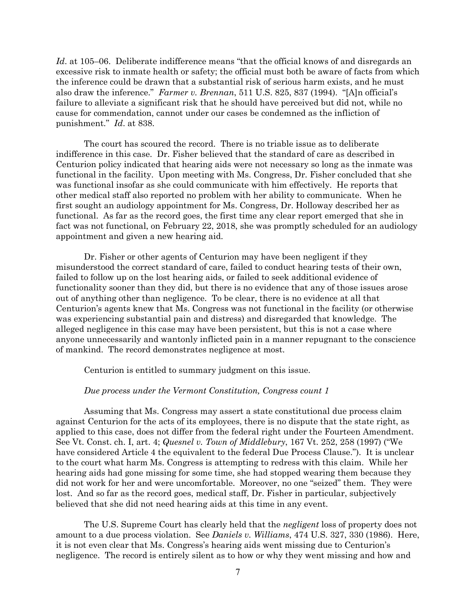*Id*. at 105–06. Deliberate indifference means "that the official knows of and disregards an excessive risk to inmate health or safety; the official must both be aware of facts from which the inference could be drawn that a substantial risk of serious harm exists, and he must also draw the inference." *Farmer v. Brennan*, 511 U.S. 825, 837 (1994). "[A]n official's failure to alleviate a significant risk that he should have perceived but did not, while no cause for commendation, cannot under our cases be condemned as the infliction of punishment." *Id*. at 838.

The court has scoured the record. There is no triable issue as to deliberate indifference in this case. Dr. Fisher believed that the standard of care as described in Centurion policy indicated that hearing aids were not necessary so long as the inmate was functional in the facility. Upon meeting with Ms. Congress, Dr. Fisher concluded that she was functional insofar as she could communicate with him effectively. He reports that other medical staff also reported no problem with her ability to communicate. When he first sought an audiology appointment for Ms. Congress, Dr. Holloway described her as functional. As far as the record goes, the first time any clear report emerged that she in fact was not functional, on February 22, 2018, she was promptly scheduled for an audiology appointment and given a new hearing aid.

Dr. Fisher or other agents of Centurion may have been negligent if they misunderstood the correct standard of care, failed to conduct hearing tests of their own, failed to follow up on the lost hearing aids, or failed to seek additional evidence of functionality sooner than they did, but there is no evidence that any of those issues arose out of anything other than negligence. To be clear, there is no evidence at all that Centurion's agents knew that Ms. Congress was not functional in the facility (or otherwise was experiencing substantial pain and distress) and disregarded that knowledge. The alleged negligence in this case may have been persistent, but this is not a case where anyone unnecessarily and wantonly inflicted pain in a manner repugnant to the conscience of mankind. The record demonstrates negligence at most.

Centurion is entitled to summary judgment on this issue.

#### *Due process under the Vermont Constitution, Congress count 1*

Assuming that Ms. Congress may assert a state constitutional due process claim against Centurion for the acts of its employees, there is no dispute that the state right, as applied to this case, does not differ from the federal right under the Fourteen Amendment. See Vt. Const. ch. I, art. 4; *Quesnel v. Town of Middlebury*, 167 Vt. 252, 258 (1997) ("We have considered Article 4 the equivalent to the federal Due Process Clause."). It is unclear to the court what harm Ms. Congress is attempting to redress with this claim. While her hearing aids had gone missing for some time, she had stopped wearing them because they did not work for her and were uncomfortable. Moreover, no one "seized" them. They were lost. And so far as the record goes, medical staff, Dr. Fisher in particular, subjectively believed that she did not need hearing aids at this time in any event.

The U.S. Supreme Court has clearly held that the *negligent* loss of property does not amount to a due process violation. See *Daniels v. Williams*, 474 U.S. 327, 330 (1986). Here, it is not even clear that Ms. Congress's hearing aids went missing due to Centurion's negligence. The record is entirely silent as to how or why they went missing and how and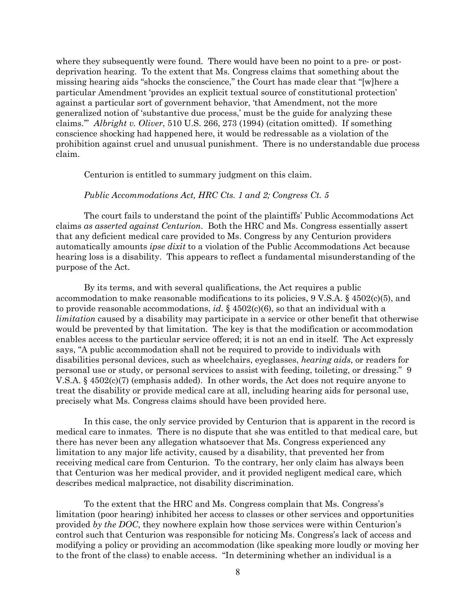where they subsequently were found. There would have been no point to a pre- or postdeprivation hearing. To the extent that Ms. Congress claims that something about the missing hearing aids "shocks the conscience," the Court has made clear that "[w]here a particular Amendment 'provides an explicit textual source of constitutional protection' against a particular sort of government behavior, 'that Amendment, not the more generalized notion of 'substantive due process,' must be the guide for analyzing these claims.'" *Albright v. Oliver*, 510 U.S. 266, 273 (1994) (citation omitted). If something conscience shocking had happened here, it would be redressable as a violation of the prohibition against cruel and unusual punishment. There is no understandable due process claim.

Centurion is entitled to summary judgment on this claim.

#### *Public Accommodations Act, HRC Cts. 1 and 2; Congress Ct. 5*

The court fails to understand the point of the plaintiffs' Public Accommodations Act claims *as asserted against Centurion*. Both the HRC and Ms. Congress essentially assert that any deficient medical care provided to Ms. Congress by any Centurion providers automatically amounts *ipse dixit* to a violation of the Public Accommodations Act because hearing loss is a disability. This appears to reflect a fundamental misunderstanding of the purpose of the Act.

By its terms, and with several qualifications, the Act requires a public accommodation to make reasonable modifications to its policies, 9 V.S.A. § 4502(c)(5), and to provide reasonable accommodations, *id*. § 4502(c)(6), so that an individual with a *limitation* caused by a disability may participate in a service or other benefit that otherwise would be prevented by that limitation. The key is that the modification or accommodation enables access to the particular service offered; it is not an end in itself. The Act expressly says, "A public accommodation shall not be required to provide to individuals with disabilities personal devices, such as wheelchairs, eyeglasses, *hearing aids*, or readers for personal use or study, or personal services to assist with feeding, toileting, or dressing." 9 V.S.A. § 4502(c)(7) (emphasis added). In other words, the Act does not require anyone to treat the disability or provide medical care at all, including hearing aids for personal use, precisely what Ms. Congress claims should have been provided here.

In this case, the only service provided by Centurion that is apparent in the record is medical care to inmates. There is no dispute that she was entitled to that medical care, but there has never been any allegation whatsoever that Ms. Congress experienced any limitation to any major life activity, caused by a disability, that prevented her from receiving medical care from Centurion. To the contrary, her only claim has always been that Centurion was her medical provider, and it provided negligent medical care, which describes medical malpractice, not disability discrimination.

To the extent that the HRC and Ms. Congress complain that Ms. Congress's limitation (poor hearing) inhibited her access to classes or other services and opportunities provided *by the DOC*, they nowhere explain how those services were within Centurion's control such that Centurion was responsible for noticing Ms. Congress's lack of access and modifying a policy or providing an accommodation (like speaking more loudly or moving her to the front of the class) to enable access. "In determining whether an individual is a